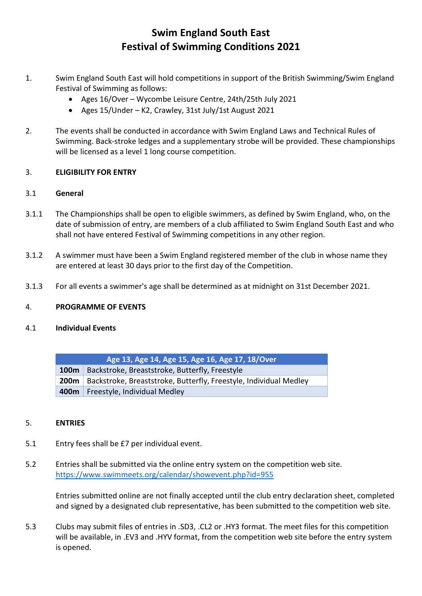# Swim England South East Festival of Swimming Conditions 2021

- 1. Swim England South East will hold competitions in support of the British Swimming/Swim England Festival of Swimming as follows:
	- Ages 16/Over Wycombe Leisure Centre, 24th/25th July 2021
	- Ages 15/Under K2, Crawley, 31st July/1st August 2021
- 2. The events shall be conducted in accordance with Swim England Laws and Technical Rules of Swimming. Back-stroke ledges and a supplementary strobe will be provided. These championships will be licensed as a level 1 long course competition.

## 3. ELIGIBILITY FOR ENTRY

## 3.1 General

- 3.1.1 The Championships shall be open to eligible swimmers, as defined by Swim England, who, on the date of submission of entry, are members of a club affiliated to Swim England South East and who shall not have entered Festival of Swimming competitions in any other region.
- 3.1.2 A swimmer must have been a Swim England registered member of the club in whose name they are entered at least 30 days prior to the first day of the Competition.
- 3.1.3 For all events a swimmer's age shall be determined as at midnight on 31st December 2021.

#### 4. PROGRAMME OF EVENTS

#### 4.1 Individual Events

| Age 13, Age 14, Age 15, Age 16, Age 17, 18/Over |                                                                               |
|-------------------------------------------------|-------------------------------------------------------------------------------|
|                                                 | <b>100m</b> Backstroke, Breaststroke, Butterfly, Freestyle                    |
|                                                 | <b>200m</b> Backstroke, Breaststroke, Butterfly, Freestyle, Individual Medley |
|                                                 | 400m   Freestyle, Individual Medley                                           |

#### 5. ENTRIES

- 5.1 Entry fees shall be £7 per individual event.
- 5.2 Entries shall be submitted via the online entry system on the competition web site. https://www.swimmeets.org/calendar/showevent.php?id=955

Entries submitted online are not finally accepted until the club entry declaration sheet, completed and signed by a designated club representative, has been submitted to the competition web site.

5.3 Clubs may submit files of entries in .SD3, .CL2 or .HY3 format. The meet files for this competition will be available, in .EV3 and .HYV format, from the competition web site before the entry system is opened.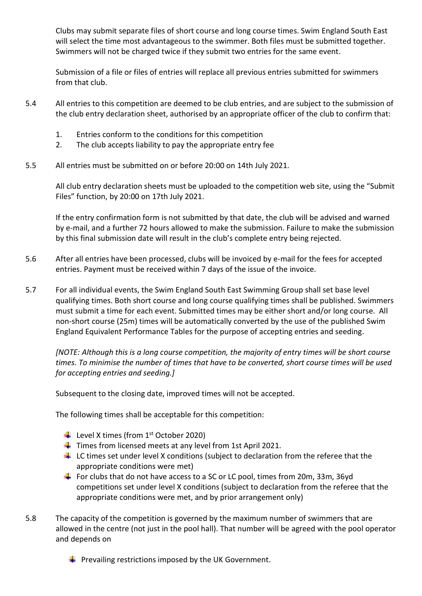Clubs may submit separate files of short course and long course times. Swim England South East will select the time most advantageous to the swimmer. Both files must be submitted together. Swimmers will not be charged twice if they submit two entries for the same event.

Submission of a file or files of entries will replace all previous entries submitted for swimmers from that club.

- 5.4 All entries to this competition are deemed to be club entries, and are subject to the submission of the club entry declaration sheet, authorised by an appropriate officer of the club to confirm that:
	- 1. Entries conform to the conditions for this competition
	- 2. The club accepts liability to pay the appropriate entry fee
- 5.5 All entries must be submitted on or before 20:00 on 14th July 2021.

All club entry declaration sheets must be uploaded to the competition web site, using the "Submit Files" function, by 20:00 on 17th July 2021.

If the entry confirmation form is not submitted by that date, the club will be advised and warned by e-mail, and a further 72 hours allowed to make the submission. Failure to make the submission by this final submission date will result in the club's complete entry being rejected.

- 5.6 After all entries have been processed, clubs will be invoiced by e-mail for the fees for accepted entries. Payment must be received within 7 days of the issue of the invoice.
- 5.7 For all individual events, the Swim England South East Swimming Group shall set base level qualifying times. Both short course and long course qualifying times shall be published. Swimmers must submit a time for each event. Submitted times may be either short and/or long course. All non-short course (25m) times will be automatically converted by the use of the published Swim England Equivalent Performance Tables for the purpose of accepting entries and seeding.

[NOTE: Although this is a long course competition, the majority of entry times will be short course times. To minimise the number of times that have to be converted, short course times will be used for accepting entries and seeding.]

Subsequent to the closing date, improved times will not be accepted.

The following times shall be acceptable for this competition:

- Level X times (from  $1<sup>st</sup>$  October 2020)
- $\frac{1}{2}$  Times from licensed meets at any level from 1st April 2021.
- $\downarrow$  LC times set under level X conditions (subject to declaration from the referee that the appropriate conditions were met)
- For clubs that do not have access to a SC or LC pool, times from 20m, 33m, 36yd competitions set under level X conditions (subject to declaration from the referee that the appropriate conditions were met, and by prior arrangement only)
- 5.8 The capacity of the competition is governed by the maximum number of swimmers that are allowed in the centre (not just in the pool hall). That number will be agreed with the pool operator and depends on
	- $\blacksquare$  Prevailing restrictions imposed by the UK Government.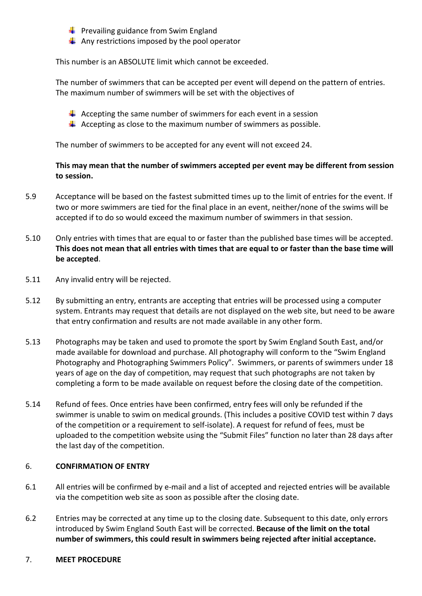**Prevailing guidance from Swim England** 

 $\blacksquare$  Any restrictions imposed by the pool operator

This number is an ABSOLUTE limit which cannot be exceeded.

The number of swimmers that can be accepted per event will depend on the pattern of entries. The maximum number of swimmers will be set with the objectives of

- $\downarrow$  Accepting the same number of swimmers for each event in a session
- $\Box$  Accepting as close to the maximum number of swimmers as possible.

The number of swimmers to be accepted for any event will not exceed 24.

# This may mean that the number of swimmers accepted per event may be different from session to session.

- 5.9 Acceptance will be based on the fastest submitted times up to the limit of entries for the event. If two or more swimmers are tied for the final place in an event, neither/none of the swims will be accepted if to do so would exceed the maximum number of swimmers in that session.
- 5.10 Only entries with times that are equal to or faster than the published base times will be accepted. This does not mean that all entries with times that are equal to or faster than the base time will be accepted.
- 5.11 Any invalid entry will be rejected.
- 5.12 By submitting an entry, entrants are accepting that entries will be processed using a computer system. Entrants may request that details are not displayed on the web site, but need to be aware that entry confirmation and results are not made available in any other form.
- 5.13 Photographs may be taken and used to promote the sport by Swim England South East, and/or made available for download and purchase. All photography will conform to the "Swim England Photography and Photographing Swimmers Policy". Swimmers, or parents of swimmers under 18 years of age on the day of competition, may request that such photographs are not taken by completing a form to be made available on request before the closing date of the competition.
- 5.14 Refund of fees. Once entries have been confirmed, entry fees will only be refunded if the swimmer is unable to swim on medical grounds. (This includes a positive COVID test within 7 days of the competition or a requirement to self-isolate). A request for refund of fees, must be uploaded to the competition website using the "Submit Files" function no later than 28 days after the last day of the competition.

#### 6. CONFIRMATION OF ENTRY

- 6.1 All entries will be confirmed by e-mail and a list of accepted and rejected entries will be available via the competition web site as soon as possible after the closing date.
- 6.2 Entries may be corrected at any time up to the closing date. Subsequent to this date, only errors introduced by Swim England South East will be corrected. Because of the limit on the total number of swimmers, this could result in swimmers being rejected after initial acceptance.

#### 7. MEET PROCEDURE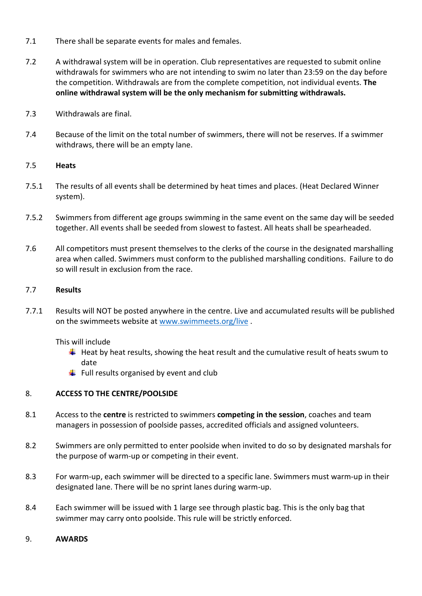- 7.1 There shall be separate events for males and females.
- 7.2 A withdrawal system will be in operation. Club representatives are requested to submit online withdrawals for swimmers who are not intending to swim no later than 23:59 on the day before the competition. Withdrawals are from the complete competition, not individual events. The online withdrawal system will be the only mechanism for submitting withdrawals.
- 7.3 Withdrawals are final.
- 7.4 Because of the limit on the total number of swimmers, there will not be reserves. If a swimmer withdraws, there will be an empty lane.

#### 7.5 Heats

- 7.5.1 The results of all events shall be determined by heat times and places. (Heat Declared Winner system).
- 7.5.2 Swimmers from different age groups swimming in the same event on the same day will be seeded together. All events shall be seeded from slowest to fastest. All heats shall be spearheaded.
- 7.6 All competitors must present themselves to the clerks of the course in the designated marshalling area when called. Swimmers must conform to the published marshalling conditions. Failure to do so will result in exclusion from the race.

#### 7.7 Results

7.7.1 Results will NOT be posted anywhere in the centre. Live and accumulated results will be published on the swimmeets website at www.swimmeets.org/live .

This will include

- $\Box$  Heat by heat results, showing the heat result and the cumulative result of heats swum to date
- $\blacksquare$  Full results organised by event and club

# 8. ACCESS TO THE CENTRE/POOLSIDE

- 8.1 Access to the centre is restricted to swimmers competing in the session, coaches and team managers in possession of poolside passes, accredited officials and assigned volunteers.
- 8.2 Swimmers are only permitted to enter poolside when invited to do so by designated marshals for the purpose of warm-up or competing in their event.
- 8.3 For warm-up, each swimmer will be directed to a specific lane. Swimmers must warm-up in their designated lane. There will be no sprint lanes during warm-up.
- 8.4 Each swimmer will be issued with 1 large see through plastic bag. This is the only bag that swimmer may carry onto poolside. This rule will be strictly enforced.

#### 9. AWARDS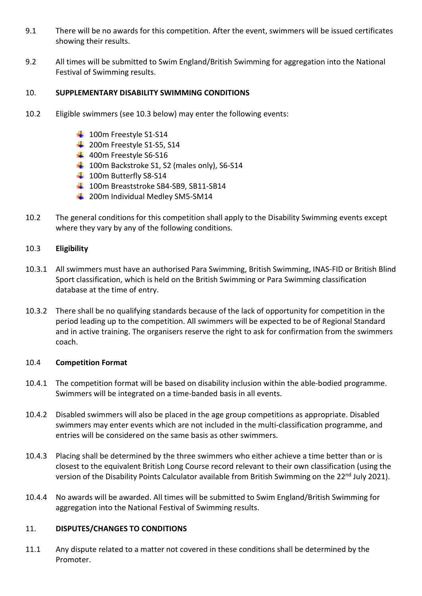- 9.1 There will be no awards for this competition. After the event, swimmers will be issued certificates showing their results.
- 9.2 All times will be submitted to Swim England/British Swimming for aggregation into the National Festival of Swimming results.

# 10. SUPPLEMENTARY DISABILITY SWIMMING CONDITIONS

- 10.2 Eligible swimmers (see 10.3 below) may enter the following events:
	- 100m Freestyle S1-S14
	- $\frac{1}{2}$  200m Freestyle S1-S5, S14
	- $\frac{1}{2}$  400m Freestyle S6-S16
	- 100m Backstroke S1, S2 (males only), S6-S14
	- $\frac{1}{2}$  100m Butterfly S8-S14
	- 100m Breaststroke SB4-SB9, SB11-SB14
	- 200m Individual Medley SM5-SM14
- 10.2 The general conditions for this competition shall apply to the Disability Swimming events except where they vary by any of the following conditions.

#### 10.3 Eligibility

- 10.3.1 All swimmers must have an authorised Para Swimming, British Swimming, INAS-FID or British Blind Sport classification, which is held on the British Swimming or Para Swimming classification database at the time of entry.
- 10.3.2 There shall be no qualifying standards because of the lack of opportunity for competition in the period leading up to the competition. All swimmers will be expected to be of Regional Standard and in active training. The organisers reserve the right to ask for confirmation from the swimmers coach.

#### 10.4 Competition Format

- 10.4.1 The competition format will be based on disability inclusion within the able-bodied programme. Swimmers will be integrated on a time-banded basis in all events.
- 10.4.2 Disabled swimmers will also be placed in the age group competitions as appropriate. Disabled swimmers may enter events which are not included in the multi-classification programme, and entries will be considered on the same basis as other swimmers.
- 10.4.3 Placing shall be determined by the three swimmers who either achieve a time better than or is closest to the equivalent British Long Course record relevant to their own classification (using the version of the Disability Points Calculator available from British Swimming on the 22<sup>nd</sup> July 2021).
- 10.4.4 No awards will be awarded. All times will be submitted to Swim England/British Swimming for aggregation into the National Festival of Swimming results.

#### 11. DISPUTES/CHANGES TO CONDITIONS

11.1 Any dispute related to a matter not covered in these conditions shall be determined by the Promoter.